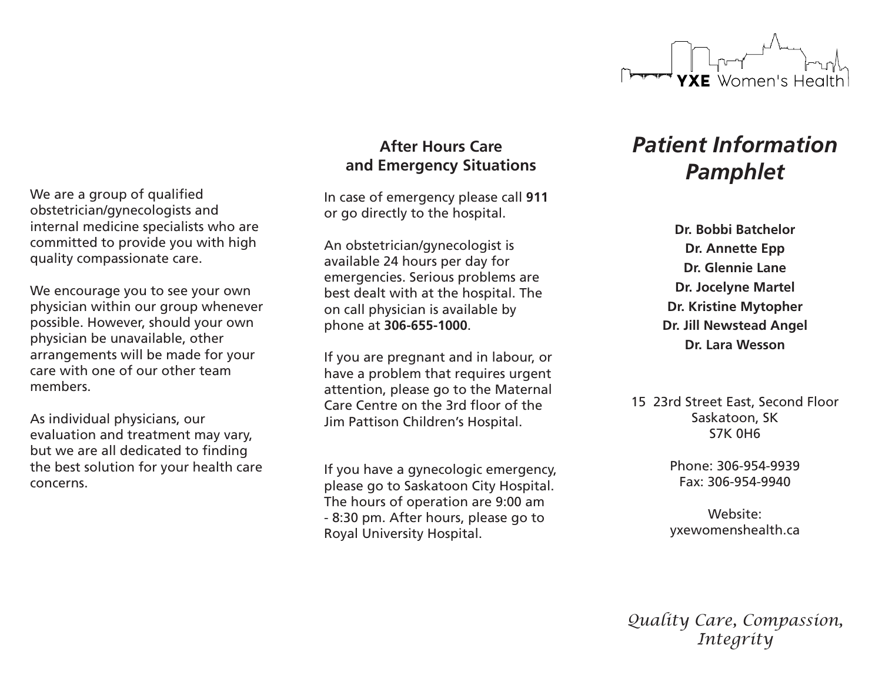

**After Hours Care and Emergency Situations**

In case of emergency please call **911**  or go directly to the hospital.

An obstetrician/gynecologist is available 24 hours per day for emergencies. Serious problems are best dealt with at the hospital. The on call physician is available by phone at **306-655-1000**.

If you are pregnant and in labour, or have a problem that requires urgent attention, please go to the Maternal Care Centre on the 3rd floor of the Jim Pattison Children's Hospital.

If you have a gynecologic emergency, please go to Saskatoon City Hospital. The hours of operation are 9:00 am - 8:30 pm. After hours, please go to Royal University Hospital.

# *Patient Information Pamphlet*

**Dr. Bobbi Batchelor Dr. Annette Epp Dr. Glennie Lane Dr. Jocelyne Martel Dr. Kristine Mytopher Dr. Jill Newstead Angel Dr. Lara Wesson**

15 23rd Street East, Second Floor Saskatoon, SK S7K 0H6

> Phone: 306-954-9939 Fax: 306-954-9940

> Website: yxewomenshealth.ca

*Quality Care, Compassion, Integrity*

We are a group of qualified obstetrician/gynecologists and internal medicine specialists who are committed to provide you with high quality compassionate care.

We encourage you to see your own physician within our group whenever possible. However, should your own physician be unavailable, other arrangements will be made for your care with one of our other team members.

As individual physicians, our evaluation and treatment may vary, but we are all dedicated to finding the best solution for your health care concerns.